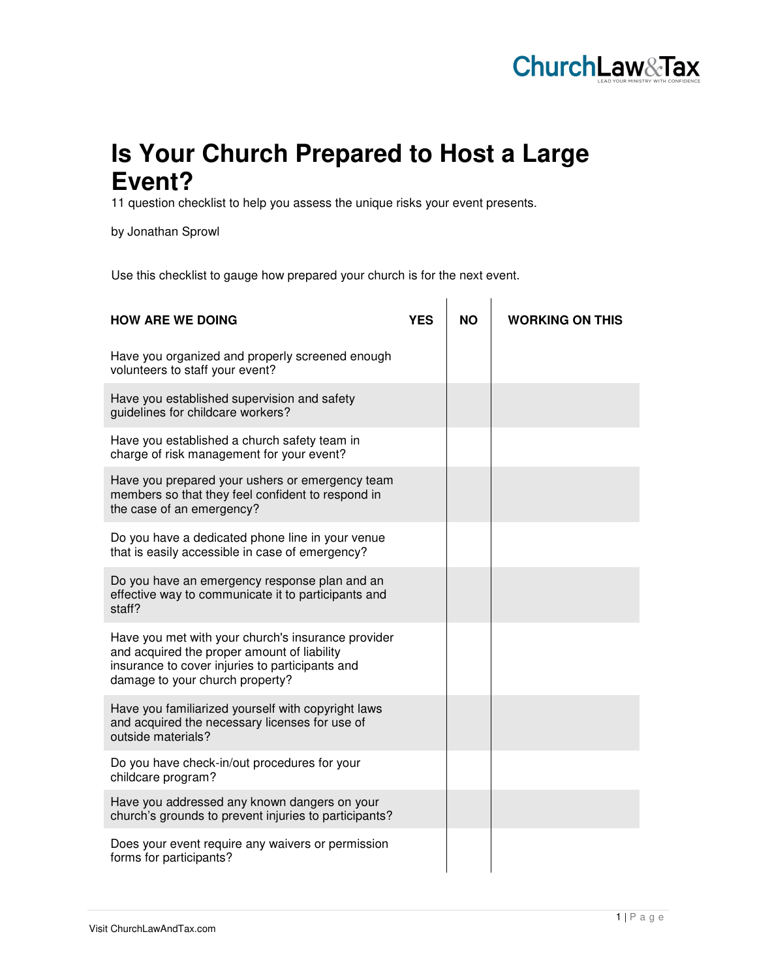

## **Is Your Church Prepared to Host a Large Event?**

11 question checklist to help you assess the unique risks your event presents.

by Jonathan Sprowl

Use this checklist to gauge how prepared your church is for the next event.

| <b>HOW ARE WE DOING</b>                                                                                                                                                                 | YES | NΟ | <b>WORKING ON THIS</b> |
|-----------------------------------------------------------------------------------------------------------------------------------------------------------------------------------------|-----|----|------------------------|
| Have you organized and properly screened enough<br>volunteers to staff your event?                                                                                                      |     |    |                        |
| Have you established supervision and safety<br>guidelines for childcare workers?                                                                                                        |     |    |                        |
| Have you established a church safety team in<br>charge of risk management for your event?                                                                                               |     |    |                        |
| Have you prepared your ushers or emergency team<br>members so that they feel confident to respond in<br>the case of an emergency?                                                       |     |    |                        |
| Do you have a dedicated phone line in your venue<br>that is easily accessible in case of emergency?                                                                                     |     |    |                        |
| Do you have an emergency response plan and an<br>effective way to communicate it to participants and<br>staff?                                                                          |     |    |                        |
| Have you met with your church's insurance provider<br>and acquired the proper amount of liability<br>insurance to cover injuries to participants and<br>damage to your church property? |     |    |                        |
| Have you familiarized yourself with copyright laws<br>and acquired the necessary licenses for use of<br>outside materials?                                                              |     |    |                        |
| Do you have check-in/out procedures for your<br>childcare program?                                                                                                                      |     |    |                        |
| Have you addressed any known dangers on your<br>church's grounds to prevent injuries to participants?                                                                                   |     |    |                        |
| Does your event require any waivers or permission<br>forms for participants?                                                                                                            |     |    |                        |